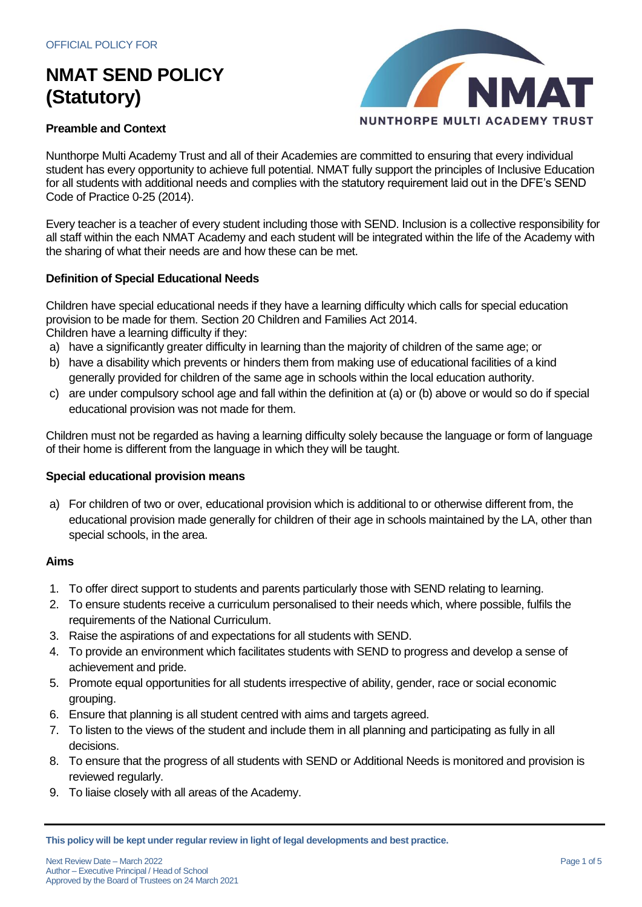

### **Preamble and Context**

Nunthorpe Multi Academy Trust and all of their Academies are committed to ensuring that every individual student has every opportunity to achieve full potential. NMAT fully support the principles of Inclusive Education for all students with additional needs and complies with the statutory requirement laid out in the DFE's SEND Code of Practice 0-25 (2014).

Every teacher is a teacher of every student including those with SEND. Inclusion is a collective responsibility for all staff within the each NMAT Academy and each student will be integrated within the life of the Academy with the sharing of what their needs are and how these can be met.

### **Definition of Special Educational Needs**

Children have special educational needs if they have a learning difficulty which calls for special education provision to be made for them. Section 20 Children and Families Act 2014. Children have a learning difficulty if they:

- a) have a significantly greater difficulty in learning than the majority of children of the same age; or
- b) have a disability which prevents or hinders them from making use of educational facilities of a kind generally provided for children of the same age in schools within the local education authority.
- c) are under compulsory school age and fall within the definition at (a) or (b) above or would so do if special educational provision was not made for them.

Children must not be regarded as having a learning difficulty solely because the language or form of language of their home is different from the language in which they will be taught.

### **Special educational provision means**

a) For children of two or over, educational provision which is additional to or otherwise different from, the educational provision made generally for children of their age in schools maintained by the LA, other than special schools, in the area.

## **Aims**

- 1. To offer direct support to students and parents particularly those with SEND relating to learning.
- 2. To ensure students receive a curriculum personalised to their needs which, where possible, fulfils the requirements of the National Curriculum.
- 3. Raise the aspirations of and expectations for all students with SEND.
- 4. To provide an environment which facilitates students with SEND to progress and develop a sense of achievement and pride.
- 5. Promote equal opportunities for all students irrespective of ability, gender, race or social economic grouping.
- 6. Ensure that planning is all student centred with aims and targets agreed.
- 7. To listen to the views of the student and include them in all planning and participating as fully in all decisions.
- 8. To ensure that the progress of all students with SEND or Additional Needs is monitored and provision is reviewed regularly.
- 9. To liaise closely with all areas of the Academy.

**This policy will be kept under regular review in light of legal developments and best practice.**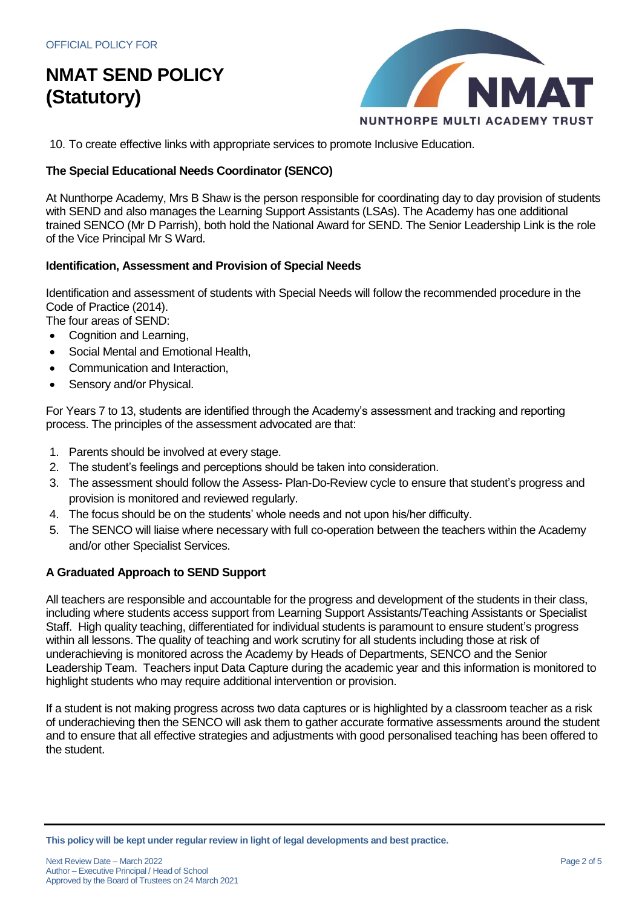

10. To create effective links with appropriate services to promote Inclusive Education.

### **The Special Educational Needs Coordinator (SENCO)**

At Nunthorpe Academy, Mrs B Shaw is the person responsible for coordinating day to day provision of students with SEND and also manages the Learning Support Assistants (LSAs). The Academy has one additional trained SENCO (Mr D Parrish), both hold the National Award for SEND. The Senior Leadership Link is the role of the Vice Principal Mr S Ward.

#### **Identification, Assessment and Provision of Special Needs**

Identification and assessment of students with Special Needs will follow the recommended procedure in the Code of Practice (2014).

The four areas of SEND:

- Cognition and Learning,
- Social Mental and Emotional Health,
- Communication and Interaction,
- Sensory and/or Physical.

For Years 7 to 13, students are identified through the Academy's assessment and tracking and reporting process. The principles of the assessment advocated are that:

- 1. Parents should be involved at every stage.
- 2. The student's feelings and perceptions should be taken into consideration.
- 3. The assessment should follow the Assess- Plan-Do-Review cycle to ensure that student's progress and provision is monitored and reviewed regularly.
- 4. The focus should be on the students' whole needs and not upon his/her difficulty.
- 5. The SENCO will liaise where necessary with full co-operation between the teachers within the Academy and/or other Specialist Services.

#### **A Graduated Approach to SEND Support**

All teachers are responsible and accountable for the progress and development of the students in their class, including where students access support from Learning Support Assistants/Teaching Assistants or Specialist Staff. High quality teaching, differentiated for individual students is paramount to ensure student's progress within all lessons. The quality of teaching and work scrutiny for all students including those at risk of underachieving is monitored across the Academy by Heads of Departments, SENCO and the Senior Leadership Team. Teachers input Data Capture during the academic year and this information is monitored to highlight students who may require additional intervention or provision.

If a student is not making progress across two data captures or is highlighted by a classroom teacher as a risk of underachieving then the SENCO will ask them to gather accurate formative assessments around the student and to ensure that all effective strategies and adjustments with good personalised teaching has been offered to the student.

**This policy will be kept under regular review in light of legal developments and best practice.**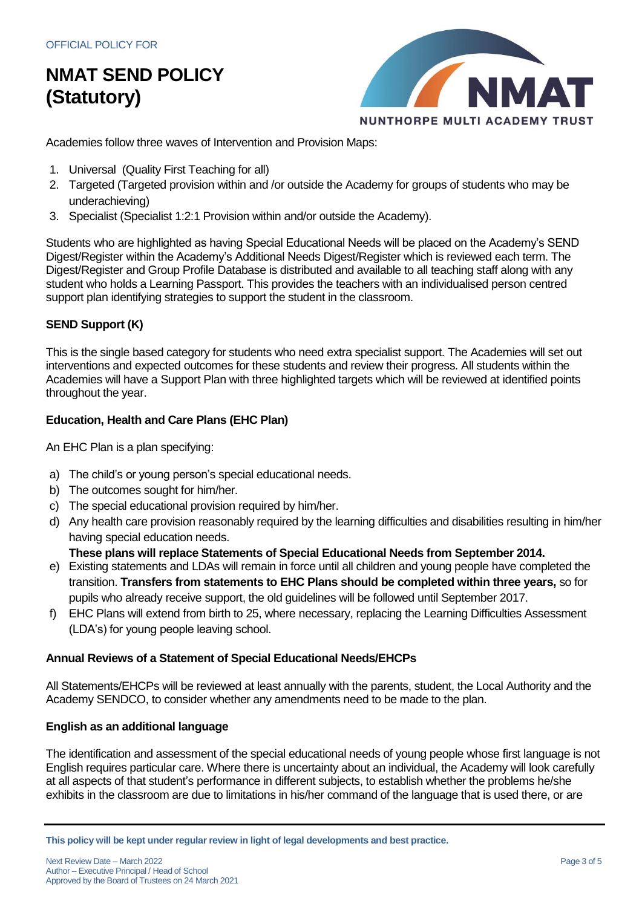

Academies follow three waves of Intervention and Provision Maps:

- 1. Universal (Quality First Teaching for all)
- 2. Targeted (Targeted provision within and /or outside the Academy for groups of students who may be underachieving)
- 3. Specialist (Specialist 1:2:1 Provision within and/or outside the Academy).

Students who are highlighted as having Special Educational Needs will be placed on the Academy's SEND Digest/Register within the Academy's Additional Needs Digest/Register which is reviewed each term. The Digest/Register and Group Profile Database is distributed and available to all teaching staff along with any student who holds a Learning Passport. This provides the teachers with an individualised person centred support plan identifying strategies to support the student in the classroom.

## **SEND Support (K)**

This is the single based category for students who need extra specialist support. The Academies will set out interventions and expected outcomes for these students and review their progress. All students within the Academies will have a Support Plan with three highlighted targets which will be reviewed at identified points throughout the year.

## **Education, Health and Care Plans (EHC Plan)**

An EHC Plan is a plan specifying:

- a) The child's or young person's special educational needs.
- b) The outcomes sought for him/her.
- c) The special educational provision required by him/her.
- d) Any health care provision reasonably required by the learning difficulties and disabilities resulting in him/her having special education needs.

**These plans will replace Statements of Special Educational Needs from September 2014.**

- e) Existing statements and LDAs will remain in force until all children and young people have completed the transition. **Transfers from statements to EHC Plans should be completed within three years,** so for pupils who already receive support, the old guidelines will be followed until September 2017.
- f) EHC Plans will extend from birth to 25, where necessary, replacing the Learning Difficulties Assessment (LDA's) for young people leaving school.

### **Annual Reviews of a Statement of Special Educational Needs/EHCPs**

All Statements/EHCPs will be reviewed at least annually with the parents, student, the Local Authority and the Academy SENDCO, to consider whether any amendments need to be made to the plan.

### **English as an additional language**

The identification and assessment of the special educational needs of young people whose first language is not English requires particular care. Where there is uncertainty about an individual, the Academy will look carefully at all aspects of that student's performance in different subjects, to establish whether the problems he/she exhibits in the classroom are due to limitations in his/her command of the language that is used there, or are

**This policy will be kept under regular review in light of legal developments and best practice.**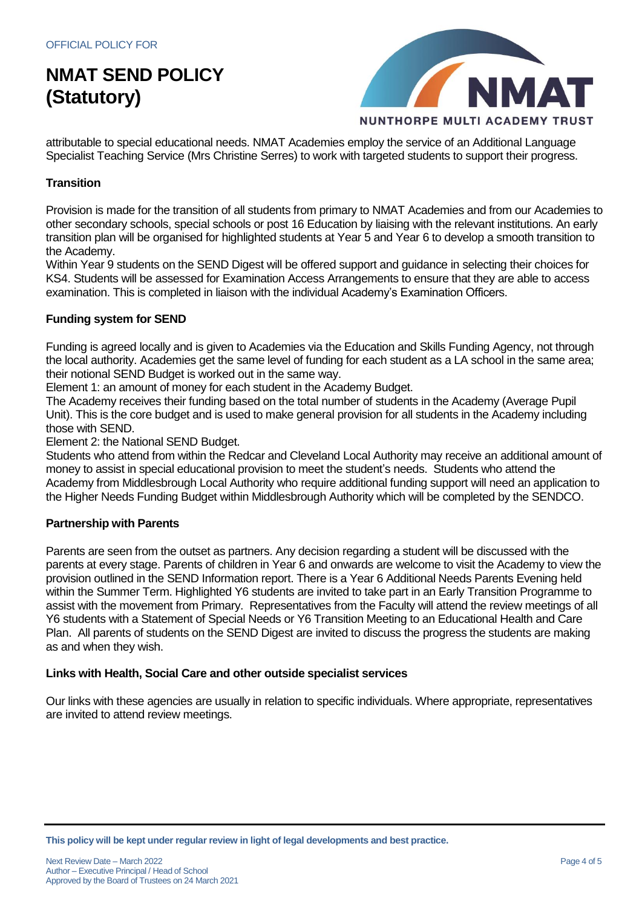

attributable to special educational needs. NMAT Academies employ the service of an Additional Language Specialist Teaching Service (Mrs Christine Serres) to work with targeted students to support their progress.

## **Transition**

Provision is made for the transition of all students from primary to NMAT Academies and from our Academies to other secondary schools, special schools or post 16 Education by liaising with the relevant institutions. An early transition plan will be organised for highlighted students at Year 5 and Year 6 to develop a smooth transition to the Academy.

Within Year 9 students on the SEND Digest will be offered support and guidance in selecting their choices for KS4. Students will be assessed for Examination Access Arrangements to ensure that they are able to access examination. This is completed in liaison with the individual Academy's Examination Officers.

### **Funding system for SEND**

Funding is agreed locally and is given to Academies via the Education and Skills Funding Agency, not through the local authority. Academies get the same level of funding for each student as a LA school in the same area; their notional SEND Budget is worked out in the same way.

Element 1: an amount of money for each student in the Academy Budget.

The Academy receives their funding based on the total number of students in the Academy (Average Pupil Unit). This is the core budget and is used to make general provision for all students in the Academy including those with SEND.

Element 2: the National SEND Budget.

Students who attend from within the Redcar and Cleveland Local Authority may receive an additional amount of money to assist in special educational provision to meet the student's needs. Students who attend the Academy from Middlesbrough Local Authority who require additional funding support will need an application to the Higher Needs Funding Budget within Middlesbrough Authority which will be completed by the SENDCO.

#### **Partnership with Parents**

Parents are seen from the outset as partners. Any decision regarding a student will be discussed with the parents at every stage. Parents of children in Year 6 and onwards are welcome to visit the Academy to view the provision outlined in the SEND Information report. There is a Year 6 Additional Needs Parents Evening held within the Summer Term. Highlighted Y6 students are invited to take part in an Early Transition Programme to assist with the movement from Primary. Representatives from the Faculty will attend the review meetings of all Y6 students with a Statement of Special Needs or Y6 Transition Meeting to an Educational Health and Care Plan. All parents of students on the SEND Digest are invited to discuss the progress the students are making as and when they wish.

#### **Links with Health, Social Care and other outside specialist services**

Our links with these agencies are usually in relation to specific individuals. Where appropriate, representatives are invited to attend review meetings.

**This policy will be kept under regular review in light of legal developments and best practice.**